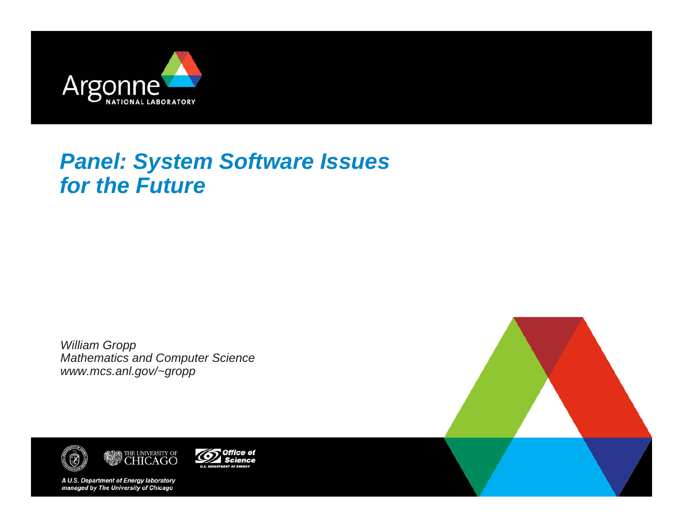

# *Panel: System Software Issues for the Future*

*William Gropp Mathematics and Computer Science www.mcs.anl.gov/~gropp*





Office of **Science** 

A U.S. Department of Energy laboratory managed by The University of Chicago

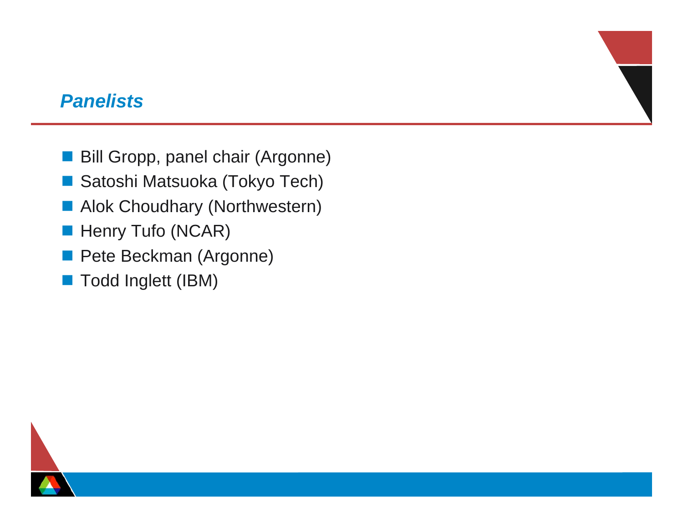#### *Panelists*

- Bill Gropp, panel chair (Argonne)
- $\mathbb{R}^n$ Satoshi Matsuoka (Tokyo Tech)
- **Alok Choudhary (Northwestern)**
- $\mathcal{L}_{\mathcal{A}}$ Henry Tufo (NCAR)
- Pete Beckman (Argonne)
- Todd Inglett (IBM)

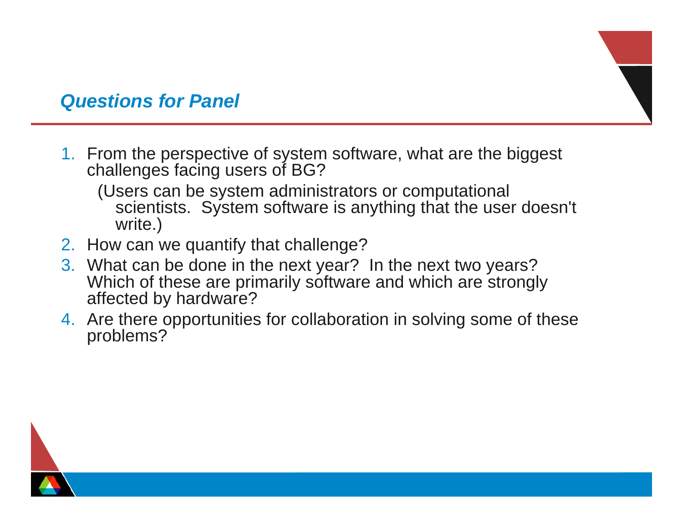### *Questions for Panel*

- 1. From the perspective of system software, what are the biggest challenges facing users of BG?
	- (Users can be system administrators or computational scientists. System software is anything that the user doesn't write.)
- 2. How can we quantify that challenge?
- 3. What can be done in the next year? In the next two years? Which of these are primarily software and which are strongly affected by hardware?
- 4. Are there opportunities for collaboration in solving some of these problems?

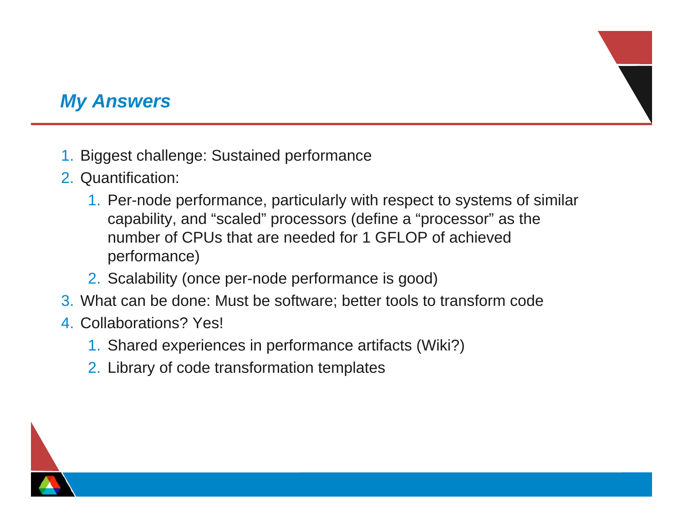## *My Answers*

- 1. Biggest challenge: Sustained performance
- 2. Quantification:
	- 1. Per-node performance, particularly with respect to systems of similar capability, and "scaled" processors (define a "processor" as the number of CPUs that are needed for 1 GFLOP of achieved performance)
	- 2. Scalability (once per-node performance is good)
- 3. What can be done: Must be software; better tools to transform code
- 4. Collaborations? Yes!
	- 1. Shared experiences in performance artifacts (Wiki?)
	- 2. Library of code transformation templates

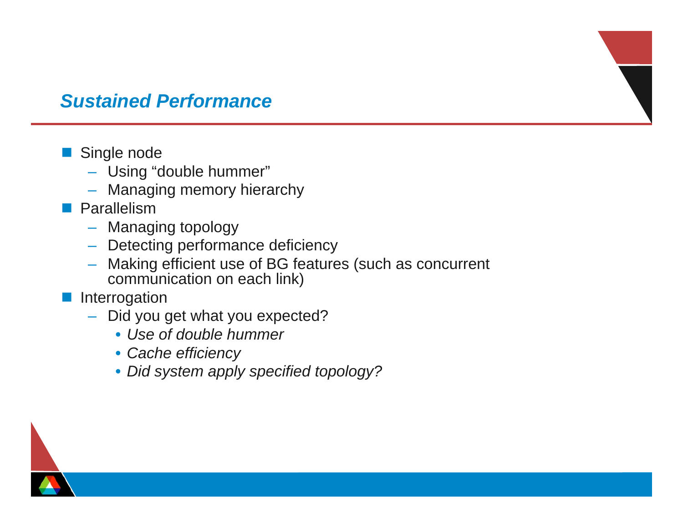### *Sustained Performance*

#### $\mathcal{L}^{\text{max}}_{\text{max}}$ Single node

- Using "double hummer"
- Managing memory hierarchy
- **Parallelism** 
	- –Managing topology
	- Detecting performance deficiency
	- Making efficient use of BG features (such as concurrent communication on each link)
- Interrogation
	- – Did you get what you expected?
		- *Use of double hummer*
		- *Cache efficiency*
		- *Did system apply specified topology?*

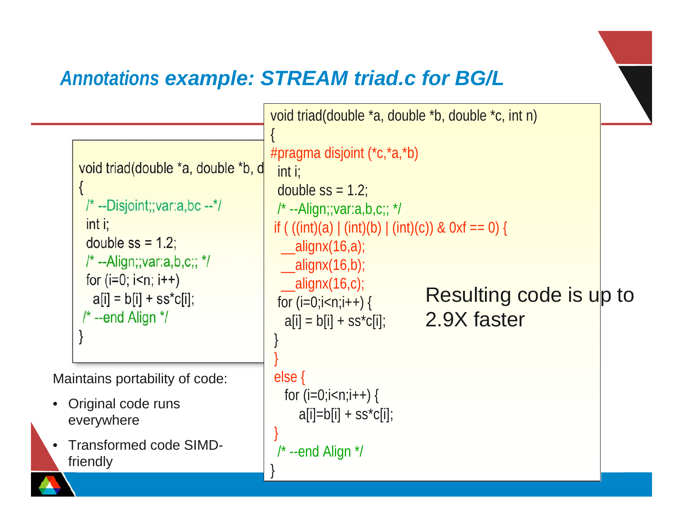# *Annotations example: STREAM triad.c for BG/L*

•

```
void triad(double *a, double *b, d
     {
      \frac{1}{x} --Disjoint;; var: a, bc --*/
       int i;
      double ss = 1.2;
      /* --Align;;var:a,b,c;; */
      for (i=0; i< n; i++)a[i] = b[i] + ss<sup>*</sup>c[i]; /* --end Align */
     }
                                            void triad(double *a, double *b, double *c, int n)
                                             {
                                            #pragma disjoint (*c,*a,*b)
                                               int i;
                                              double ss = 1.2;
                                              \prime^* --Align;;var:a,b,c;; \prime\primeif ( ((int)(a) | (int)(b) | (int)(c)) & 0xf == 0) {
                                              \_alignx(16,a);\_alignx(16,b);
                                              \_alignx(16,c);for (i=0;i < n;i++) {
                                               a[i] = b[i] + SS<sup>*</sup>c[i]; }
                                              } 
                                              else {
                                               for (i=0; i < n; i++) {
                                                  a[i]=b[i] + ss<sup>*</sup>c[i];}
                                              /* --end Align */
                                             }
Maintains portability of code:
• Original code runs
   everywhere
   Transformed code SIMD-
  friendly
                                                                            Resulting code is up to
                                                                            2.9X faster
```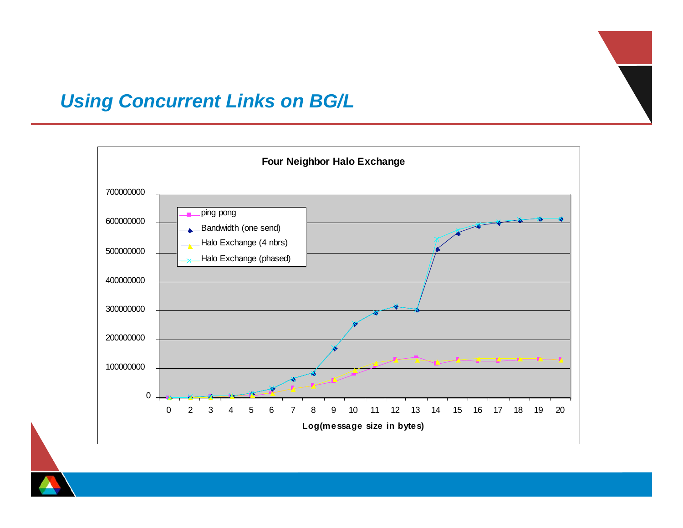### *Using Concurrent Links on BG/L*